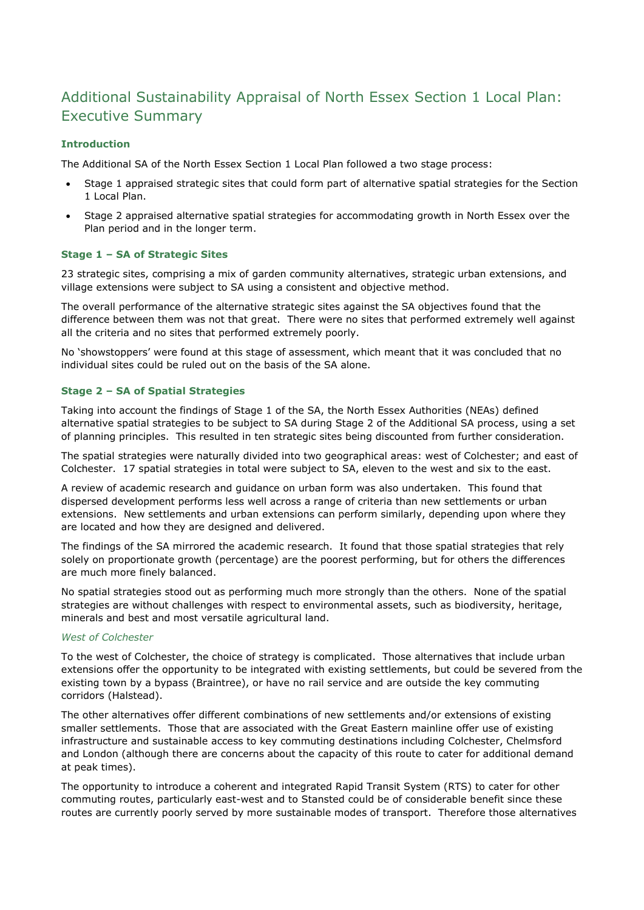# Additional Sustainability Appraisal of North Essex Section 1 Local Plan: Executive Summary

## **Introduction**

The Additional SA of the North Essex Section 1 Local Plan followed a two stage process:

- Stage 1 appraised strategic sites that could form part of alternative spatial strategies for the Section 1 Local Plan.
- Stage 2 appraised alternative spatial strategies for accommodating growth in North Essex over the Plan period and in the longer term.

## **Stage 1 – SA of Strategic Sites**

23 strategic sites, comprising a mix of garden community alternatives, strategic urban extensions, and village extensions were subject to SA using a consistent and objective method.

The overall performance of the alternative strategic sites against the SA objectives found that the difference between them was not that great. There were no sites that performed extremely well against all the criteria and no sites that performed extremely poorly.

No 'showstoppers' were found at this stage of assessment, which meant that it was concluded that no individual sites could be ruled out on the basis of the SA alone.

#### **Stage 2 – SA of Spatial Strategies**

Taking into account the findings of Stage 1 of the SA, the North Essex Authorities (NEAs) defined alternative spatial strategies to be subject to SA during Stage 2 of the Additional SA process, using a set of planning principles. This resulted in ten strategic sites being discounted from further consideration.

The spatial strategies were naturally divided into two geographical areas: west of Colchester; and east of Colchester. 17 spatial strategies in total were subject to SA, eleven to the west and six to the east.

A review of academic research and guidance on urban form was also undertaken. This found that dispersed development performs less well across a range of criteria than new settlements or urban extensions. New settlements and urban extensions can perform similarly, depending upon where they are located and how they are designed and delivered.

The findings of the SA mirrored the academic research. It found that those spatial strategies that rely solely on proportionate growth (percentage) are the poorest performing, but for others the differences are much more finely balanced.

No spatial strategies stood out as performing much more strongly than the others. None of the spatial strategies are without challenges with respect to environmental assets, such as biodiversity, heritage, minerals and best and most versatile agricultural land.

#### *West of Colchester*

To the west of Colchester, the choice of strategy is complicated. Those alternatives that include urban extensions offer the opportunity to be integrated with existing settlements, but could be severed from the existing town by a bypass (Braintree), or have no rail service and are outside the key commuting corridors (Halstead).

The other alternatives offer different combinations of new settlements and/or extensions of existing smaller settlements. Those that are associated with the Great Eastern mainline offer use of existing infrastructure and sustainable access to key commuting destinations including Colchester, Chelmsford and London (although there are concerns about the capacity of this route to cater for additional demand at peak times).

The opportunity to introduce a coherent and integrated Rapid Transit System (RTS) to cater for other commuting routes, particularly east-west and to Stansted could be of considerable benefit since these routes are currently poorly served by more sustainable modes of transport. Therefore those alternatives